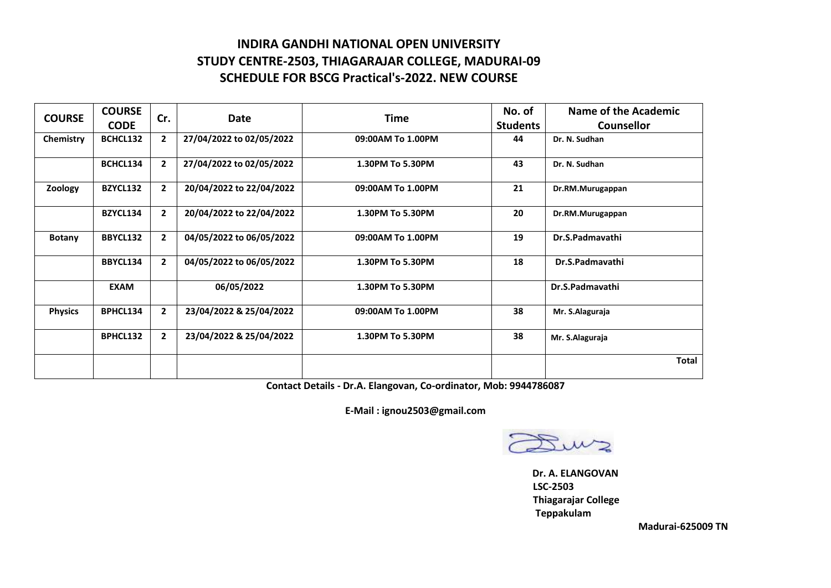## **INDIRA GANDHI NATIONAL OPEN UNIVERSITY STUDY CENTRE-2503, THIAGARAJAR COLLEGE, MADURAI-09 SCHEDULE FOR BSCG Practical's-2022. NEW COURSE**

| <b>COURSE</b>  | <b>COURSE</b><br><b>CODE</b> | Cr.            | Date                     | <b>Time</b>       | No. of<br><b>Students</b> | Name of the Academic<br><b>Counsellor</b> |
|----------------|------------------------------|----------------|--------------------------|-------------------|---------------------------|-------------------------------------------|
| Chemistry      | BCHCL132                     | $\mathbf{2}$   | 27/04/2022 to 02/05/2022 | 09:00AM To 1.00PM | 44                        | Dr. N. Sudhan                             |
|                | BCHCL134                     | $\mathbf{2}$   | 27/04/2022 to 02/05/2022 | 1.30PM To 5.30PM  | 43                        | Dr. N. Sudhan                             |
| Zoology        | BZYCL132                     | $\mathbf{2}$   | 20/04/2022 to 22/04/2022 | 09:00AM To 1.00PM | 21                        | Dr.RM.Murugappan                          |
|                | BZYCL134                     | $\mathbf{2}$   | 20/04/2022 to 22/04/2022 | 1.30PM To 5.30PM  | 20                        | Dr.RM.Murugappan                          |
| <b>Botany</b>  | BBYCL132                     | $\overline{2}$ | 04/05/2022 to 06/05/2022 | 09:00AM To 1.00PM | 19                        | Dr.S.Padmavathi                           |
|                | BBYCL134                     | $\mathbf{2}$   | 04/05/2022 to 06/05/2022 | 1.30PM To 5.30PM  | 18                        | Dr.S.Padmavathi                           |
|                | <b>EXAM</b>                  |                | 06/05/2022               | 1.30PM To 5.30PM  |                           | Dr.S.Padmavathi                           |
| <b>Physics</b> | BPHCL134                     | $\overline{2}$ | 23/04/2022 & 25/04/2022  | 09:00AM To 1.00PM | 38                        | Mr. S.Alaguraja                           |
|                | BPHCL132                     | $\mathbf{2}$   | 23/04/2022 & 25/04/2022  | 1.30PM To 5.30PM  | 38                        | Mr. S.Alaguraja                           |
|                |                              |                |                          |                   |                           | Total                                     |

**Contact Details - Dr.A. Elangovan, Co-ordinator, Mob: 9944786087**

**E-Mail : ignou2503@gmail.com**

Im2

**Dr. A. ELANGOVAN LSC-2503 Thiagarajar College Teppakulam**

 **Madurai-625009 TN**